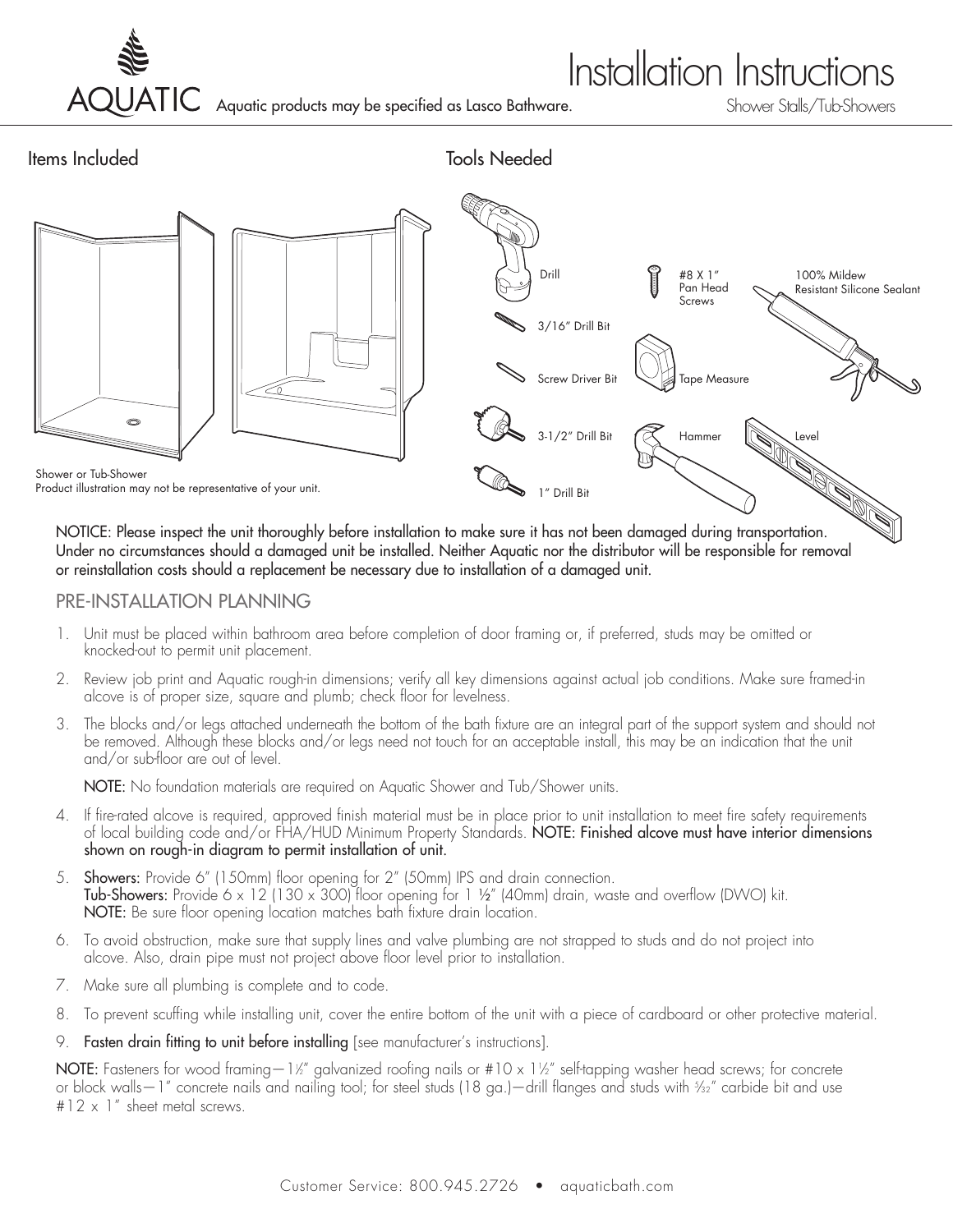

## **Installation Instructions**

Aquatic products may be specified as Lasco Bathware.



Under no circumstances should a damaged unit be installed. Neither Aquatic nor the distributor will be responsible for removal or reinstallation costs should a replacement be necessary due to installation of a damaged unit.

### PRE-INSTALLATION PLANNING

- 1. Unit must be placed within bathroom area before completion of door framing or, if preferred, studs may be omitted or knocked-out to permit unit placement.
- 2. Review job print and Aquatic rough-in dimensions; verify all key dimensions against actual job conditions. Make sure framed-in alcove is of proper size, square and plumb; check floor for levelness.
- 3. The blocks and/or legs attached underneath the bottom of the bath fixture are an integral part of the support system and should not be removed. Although these blocks and/or legs need not touch for an acceptable install, this may be an indication that the unit and/or sub-floor are out of level.

NOTE: No foundation materials are required on Aquatic Shower and Tub/Shower units.

- 4. If fire-rated alcove is required, approved finish material must be in place prior to unit installation to meet fire safety requirements of local building code and/or FHA/HUD Minimum Property Standards. NOTE: Finished alcove must have interior dimensions shown on rough-in diagram to permit installation of unit.
- 5. Showers: Provide 6" (150mm) floor opening for 2" (50mm) IPS and drain connection. **Tub-Showers:** Provide 6 x 12 (130 x 300) floor opening for 1 ½" (40mm) drain, waste and overflow (DWO) kit. NOTE: Be sure floor opening location matches bath fixture drain location.
- 6. To avoid obstruction, make sure that supply lines and valve plumbing are not strapped to studs and do not project into alcove. Also, drain pipe must not project above floor level prior to installation.
- 7. Make sure all plumbing is complete and to code.
- 8. To prevent scuffing while installing unit, cover the entire bottom of the unit with a piece of cardboard or other protective material.
- 9. Fasten drain fitting to unit before installing [see manufacturer's instructions].

<code>NOTE</code>: Fasteners for wood framing—1½" galvanized roofing nails or #10 x 1½" self-tapping washer head screws; for concrete or block walls—1" concrete nails and nailing tool; for steel studs (18 ga.)—drill flanges and studs with 5 ⁄32" carbide bit and use  $#12 \times 1$ " sheet metal screws.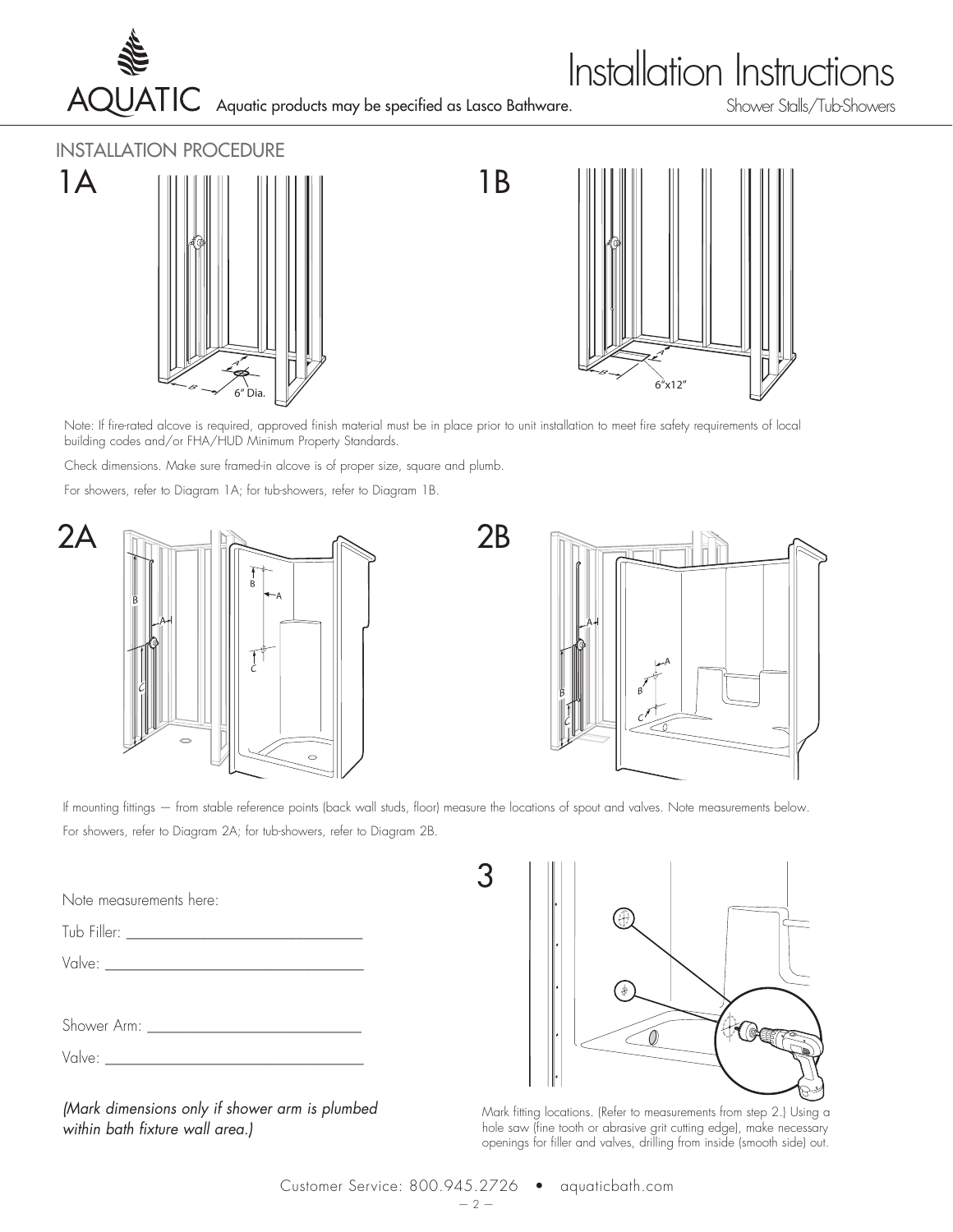

# **Installation Instructions**

Aquatic products may be specified as Lasco Bathware.

### INSTALLATION PROCEDURE





Note: If fire-rated alcove is required, approved finish material must be in place prior to unit installation to meet fire safety requirements of local building codes and/or FHA/HUD Minimum Property Standards.

2B

Check dimensions. Make sure framed-in alcove is of proper size, square and plumb.

For showers, refer to Diagram 1A; for tub-showers, refer to Diagram 1B.





If mounting fittings — from stable reference points (back wall studs, floor) measure the locations of spout and valves. Note measurements below. For showers, refer to Diagram 2A; for tub-showers, refer to Diagram 2B.

3

Note measurements here:

| Tub Filler: |  |
|-------------|--|
| Valve:      |  |

| Shower |  |  |
|--------|--|--|
|--------|--|--|

| V, |  |
|----|--|
|----|--|

*(Mark dimensions only if shower arm is plumbed within bath fixture wall area.)*



Mark fitting locations. (Refer to measurements from step 2.) Using a hole saw (fine tooth or abrasive grit cutting edge), make necessary openings for filler and valves, drilling from inside (smooth side) out.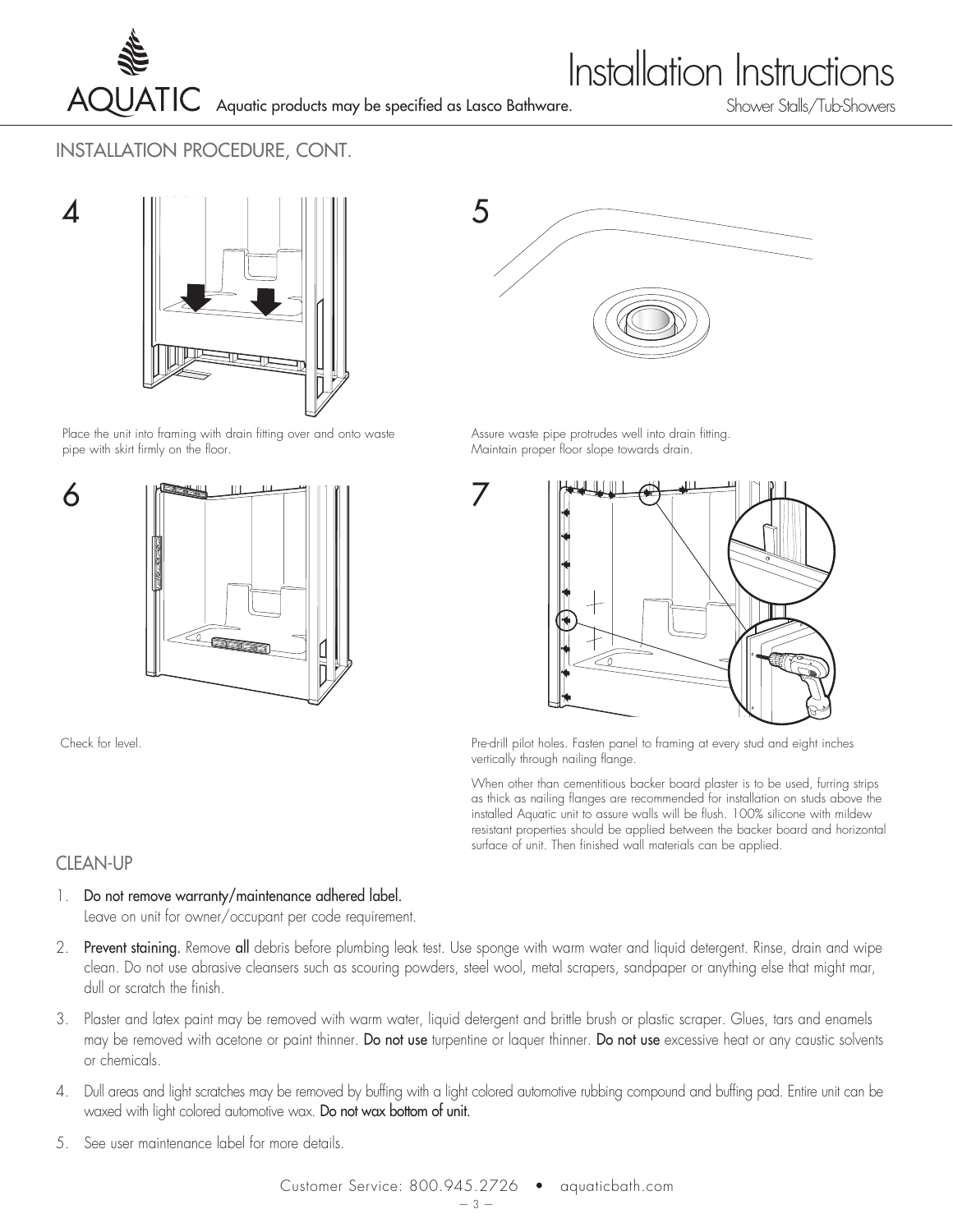

## **Installation Instructions**

INSTALLATION PROCEDURE, CONT.



Place the unit into framing with drain fitting over and onto waste pipe with skirt firmly on the floor.



Check for level.



Assure waste pipe protrudes well into drain fitting. Maintain proper floor slope towards drain.



Pre-drill pilot holes. Fasten panel to framing at every stud and eight inches vertically through nailing flange.

When other than cementitious backer board plaster is to be used, furring strips as thick as nailing flanges are recommended for installation on studs above the installed Aquatic unit to assure walls will be flush. 100% silicone with mildew resistant properties should be applied between the backer board and horizontal surface of unit. Then finished wall materials can be applied.

### CLEAN-UP

- 1. Do not remove warranty/maintenance adhered label. Leave on unit for owner/occupant per code requirement.
- 2. Prevent staining. Remove all debris before plumbing leak test. Use sponge with warm water and liquid detergent. Rinse, drain and wipe clean. Do not use abrasive cleansers such as scouring powders, steel wool, metal scrapers, sandpaper or anything else that might mar, dull or scratch the finish.

7

- 3. Plaster and latex paint may be removed with warm water, liquid detergent and brittle brush or plastic scraper. Glues, tars and enamels may be removed with acetone or paint thinner. Do not use turpentine or laquer thinner. Do not use excessive heat or any caustic solvents or chemicals.
- 4. Dull areas and light scratches may be removed by buffing with a light colored automotive rubbing compound and buffing pad. Entire unit can be waxed with light colored automotive wax. Do not wax bottom of unit.
- 5. See user maintenance label for more details.